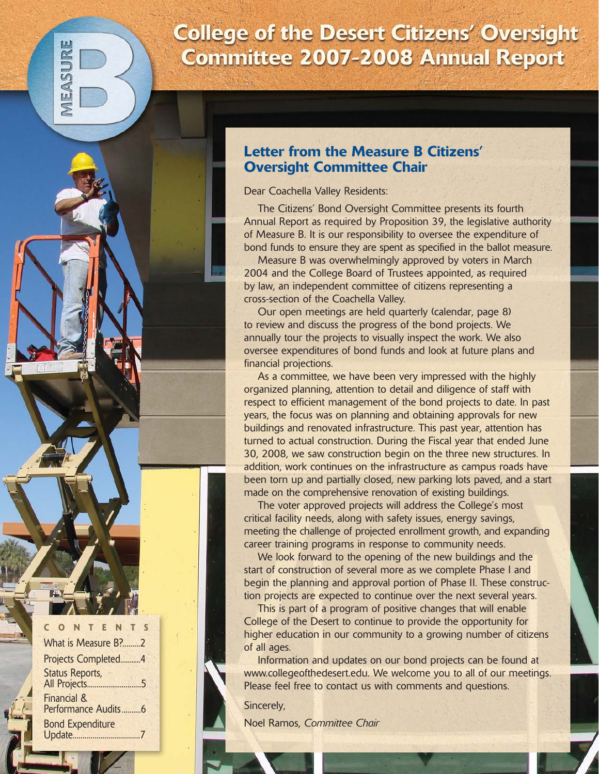# **College of the Desert Citizens' Oversight Committee 2007-2008 Annual Report**

# **Letter from the Measure B Citizens' Oversight Committee Chair**

Dear Coachella Valley Residents:

The Citizens' Bond Oversight Committee presents its fourth Annual Report as required by Proposition 39, the legislative authority of Measure B. It is our responsibility to oversee the expenditure of bond funds to ensure they are spent as specified in the ballot measure.

Measure B was overwhelmingly approved by voters in March 2004 and the College Board of Trustees appointed, as required by law, an independent committee of citizens representing a cross-section of the Coachella Valley.

Our open meetings are held quarterly (calendar, page 8) to review and discuss the progress of the bond projects. We annually tour the projects to visually inspect the work. We also oversee expenditures of bond funds and look at future plans and financial projections.

As a committee, we have been very impressed with the highly organized planning, attention to detail and diligence of staff with respect to efficient management of the bond projects to date. In past years, the focus was on planning and obtaining approvals for new buildings and renovated infrastructure. This past year, attention has turned to actual construction. During the Fiscal year that ended June 30, 2008, we saw construction begin on the three new structures. In addition, work continues on the infrastructure as campus roads have been torn up and partially closed, new parking lots paved, and a start made on the comprehensive renovation of existing buildings.

The voter approved projects will address the College's most critical facility needs, along with safety issues, energy savings, meeting the challenge of projected enrollment growth, and expanding career training programs in response to community needs.

We look forward to the opening of the new buildings and the start of construction of several more as we complete Phase I and begin the planning and approval portion of Phase II. These construction projects are expected to continue over the next several years.

This is part of a program of positive changes that will enable College of the Desert to continue to provide the opportunity for higher education in our community to a growing number of citizens of all ages.

Information and updates on our bond projects can be found at www.collegeofthedesert.edu. We welcome you to all of our meetings. Please feel free to contact us with comments and questions.

Sincerely,

Noel Ramos, *Committee Chair*

| CONTENTS                                      |  |
|-----------------------------------------------|--|
| What is Measure B?2                           |  |
| Projects Completed4                           |  |
| <b>Status Reports,</b>                        |  |
| <b>Financial &amp;</b><br>Performance Audits6 |  |
| <b>Bond Expenditure</b>                       |  |

SURE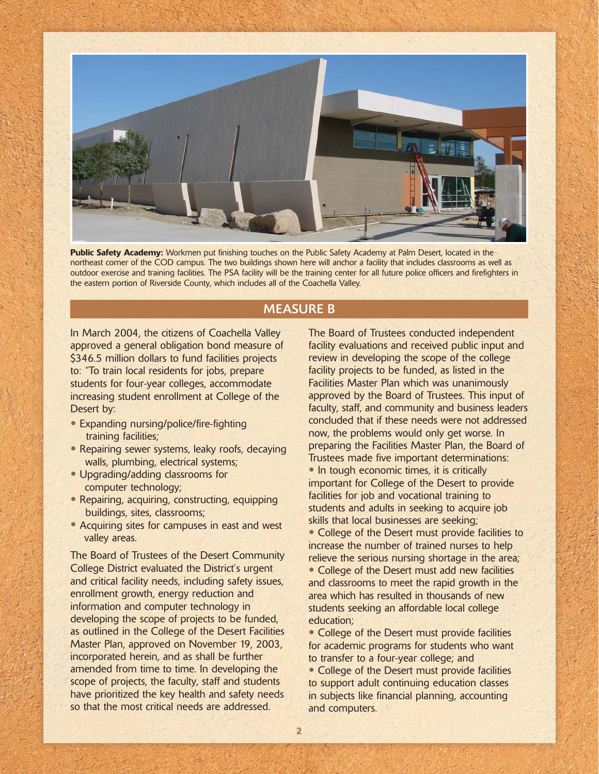

**Public Safety Academy:** Workmen put finishing touches on the Public Safety Academy at Palm Desert, located in the northeast corner of the COD campus. The two buildings shown here will anchor a facility that includes classrooms as well as outdoor exercise and training facilities. The PSA facility will be the training center for all future police officers and firefighters in the eastern portion of Riverside County, which includes all of the Coachella Valley.

# MEASURE B

In March 2004, the citizens of Coachella Valley approved a general obligation bond measure of \$346.5 million dollars to fund facilities projects to: "To train local residents for jobs, prepare students for four-year colleges, accommodate increasing student enrollment at College of the Desert by:

- Expanding nursing/police/fire-fighting training facilities;
- Repairing sewer systems, leaky roofs, decaying walls, plumbing, electrical systems;
- Upgrading/adding classrooms for computer technology;
- Repairing, acquiring, constructing, equipping buildings, sites, classrooms;
- Acquiring sites for campuses in east and west valley areas.

The Board of Trustees of the Desert Community College District evaluated the District's urgent and critical facility needs, including safety issues, enrollment growth, energy reduction and information and computer technology in developing the scope of projects to be funded, as outlined in the College of the Desert Facilities Master Plan, approved on November 19, 2003, incorporated herein, and as shall be further amended from time to time. In developing the scope of projects, the faculty, staff and students have prioritized the key health and safety needs so that the most critical needs are addressed.

The Board of Trustees conducted independent facility evaluations and received public input and review in developing the scope of the college facility projects to be funded, as listed in the Facilities Master Plan which was unanimously approved by the Board of Trustees. This input of faculty, staff, and community and business leaders concluded that if these needs were not addressed now, the problems would only get worse. In preparing the Facilities Master Plan, the Board of Trustees made five important determinations: • In tough economic times, it is critically important for College of the Desert to provide facilities for job and vocational training to students and adults in seeking to acquire job skills that local businesses are seeking; • College of the Desert must provide facilities to increase the number of trained nurses to help relieve the serious nursing shortage in the area; • College of the Desert must add new facilities and classrooms to meet the rapid growth in the area which has resulted in thousands of new students seeking an affordable local college education;

• College of the Desert must provide facilities for academic programs for students who want to transfer to a four-year college; and

• College of the Desert must provide facilities to support adult continuing education classes in subjects like financial planning, accounting and computers.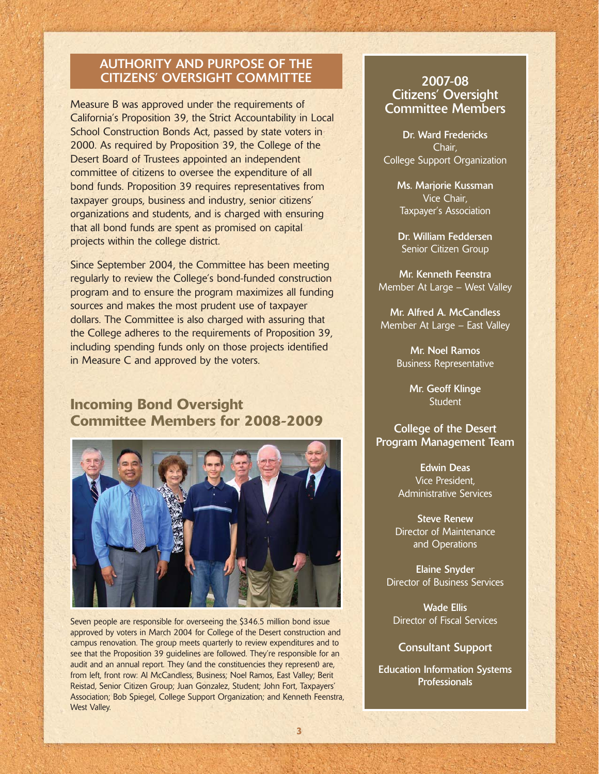# AUTHORITY AND PURPOSE OF THE CITIZENS' OVERSIGHT COMMITTEE

Measure B was approved under the requirements of California's Proposition 39, the Strict Accountability in Local School Construction Bonds Act, passed by state voters in 2000. As required by Proposition 39, the College of the Desert Board of Trustees appointed an independent committee of citizens to oversee the expenditure of all bond funds. Proposition 39 requires representatives from taxpayer groups, business and industry, senior citizens' organizations and students, and is charged with ensuring that all bond funds are spent as promised on capital projects within the college district.

Since September 2004, the Committee has been meeting regularly to review the College's bond-funded construction program and to ensure the program maximizes all funding sources and makes the most prudent use of taxpayer dollars. The Committee is also charged with assuring that the College adheres to the requirements of Proposition 39, including spending funds only on those projects identified in Measure C and approved by the voters.

# **Incoming Bond Oversight Committee Members for 2008-2009**



Seven people are responsible for overseeing the \$346.5 million bond issue approved by voters in March 2004 for College of the Desert construction and campus renovation. The group meets quarterly to review expenditures and to see that the Proposition 39 guidelines are followed. They're responsible for an audit and an annual report. They (and the constituencies they represent) are, from left, front row: Al McCandless, Business; Noel Ramos, East Valley; Berit Reistad, Senior Citizen Group; Juan Gonzalez, Student; John Fort, Taxpayers' Association; Bob Spiegel, College Support Organization; and Kenneth Feenstra, West Valley.

# 2007-08 Citizens' Oversight Committee Members

Dr. Ward Fredericks Chair, College Support Organization

> Ms. Marjorie Kussman Vice Chair, Taxpayer's Association

Dr. William Feddersen Senior Citizen Group

Mr. Kenneth Feenstra Member At Large – West Valley

Mr. Alfred A. McCandless Member At Large – East Valley

> Mr. Noel Ramos Business Representative

> > Mr. Geoff Klinge **Student**

### College of the Desert Program Management Team

Edwin Deas Vice President, Administrative Services

Steve Renew Director of Maintenance and Operations

Elaine Snyder Director of Business Services

Wade Ellis Director of Fiscal Services

#### Consultant Support

Education Information Systems **Professionals**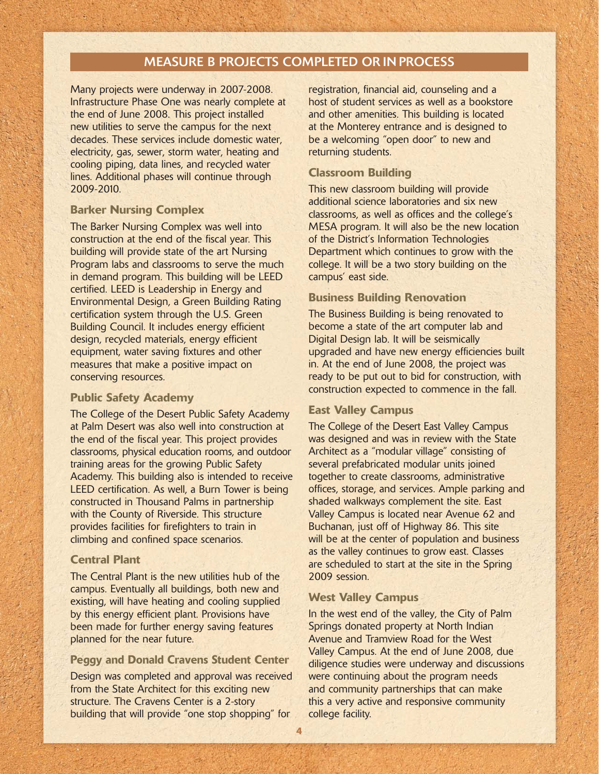#### MEASURE B PROJECTS COMPLETED OR IN PROCESS

Many projects were underway in 2007-2008. Infrastructure Phase One was nearly complete at the end of June 2008. This project installed new utilities to serve the campus for the next decades. These services include domestic water, electricity, gas, sewer, storm water, heating and cooling piping, data lines, and recycled water lines. Additional phases will continue through 2009-2010.

#### **Barker Nursing Complex**

The Barker Nursing Complex was well into construction at the end of the fiscal year. This building will provide state of the art Nursing Program labs and classrooms to serve the much in demand program. This building will be LEED certified. LEED is Leadership in Energy and Environmental Design, a Green Building Rating certification system through the U.S. Green Building Council. It includes energy efficient design, recycled materials, energy efficient equipment, water saving fixtures and other measures that make a positive impact on conserving resources.

#### **Public Safety Academy**

The College of the Desert Public Safety Academy at Palm Desert was also well into construction at the end of the fiscal year. This project provides classrooms, physical education rooms, and outdoor training areas for the growing Public Safety Academy. This building also is intended to receive LEED certification. As well, a Burn Tower is being constructed in Thousand Palms in partnership with the County of Riverside. This structure provides facilities for firefighters to train in climbing and confined space scenarios.

#### **Central Plant**

The Central Plant is the new utilities hub of the campus. Eventually all buildings, both new and existing, will have heating and cooling supplied by this energy efficient plant. Provisions have been made for further energy saving features planned for the near future.

#### **Peggy and Donald Cravens Student Center**

Design was completed and approval was received from the State Architect for this exciting new structure. The Cravens Center is a 2-story building that will provide "one stop shopping" for

registration, financial aid, counseling and a host of student services as well as a bookstore and other amenities. This building is located at the Monterey entrance and is designed to be a welcoming "open door" to new and returning students.

### **Classroom Building**

This new classroom building will provide additional science laboratories and six new classrooms, as well as offices and the college's MESA program. It will also be the new location of the District's Information Technologies Department which continues to grow with the college. It will be a two story building on the campus' east side.

#### **Business Building Renovation**

The Business Building is being renovated to become a state of the art computer lab and Digital Design lab. It will be seismically upgraded and have new energy efficiencies built in. At the end of June 2008, the project was ready to be put out to bid for construction, with construction expected to commence in the fall.

#### **East Valley Campus**

The College of the Desert East Valley Campus was designed and was in review with the State Architect as a "modular village" consisting of several prefabricated modular units joined together to create classrooms, administrative offices, storage, and services. Ample parking and shaded walkways complement the site. East Valley Campus is located near Avenue 62 and Buchanan, just off of Highway 86. This site will be at the center of population and business as the valley continues to grow east. Classes are scheduled to start at the site in the Spring 2009 session.

#### **West Valley Campus**

In the west end of the valley, the City of Palm Springs donated property at North Indian Avenue and Tramview Road for the West Valley Campus. At the end of June 2008, due diligence studies were underway and discussions were continuing about the program needs and community partnerships that can make this a very active and responsive community college facility.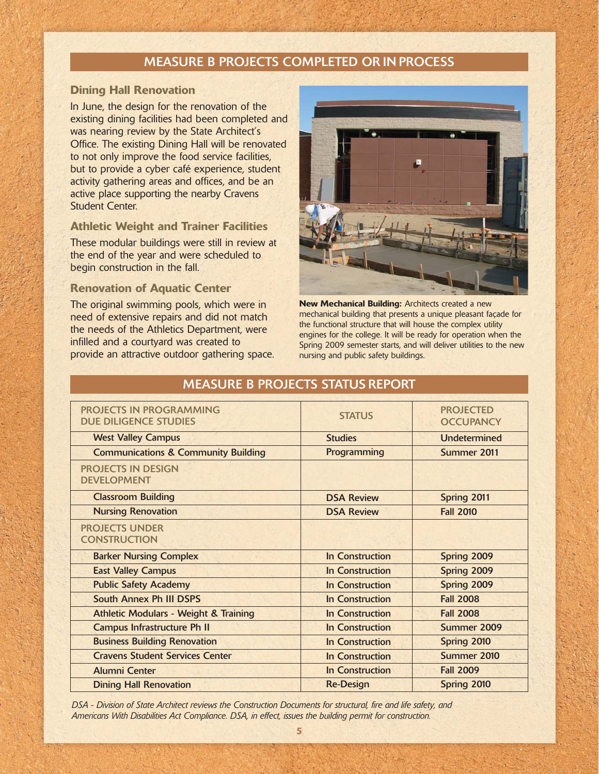# MEASURE B PROJECTS COMPLETED OR IN PROCESS

#### **Dining Hall Renovation**

In June, the design for the renovation of the existing dining facilities had been completed and was nearing review by the State Architect's Office. The existing Dining Hall will be renovated to not only improve the food service facilities, but to provide a cyber café experience, student activity gathering areas and offices, and be an active place supporting the nearby Cravens Student Center.

#### **Athletic Weight and Trainer Facilities**

These modular buildings were still in review at the end of the year and were scheduled to begin construction in the fall.

#### **Renovation of Aquatic Center**

The original swimming pools, which were in need of extensive repairs and did not match the needs of the Athletics Department, were infilled and a courtyard was created to provide an attractive outdoor gathering space.



**New Mechanical Building:** Architects created a new mechanical building that presents a unique pleasant façade for the functional structure that will house the complex utility engines for the college. It will be ready for operation when the Spring 2009 semester starts, and will deliver utilities to the new nursing and public safety buildings.

| <b>PROJECTS IN PROGRAMMING</b><br><b>DUE DILIGENCE STUDIES</b> | <b>STATUS</b>          | <b>PROJECTED</b><br><b>OCCUPANCY</b> |
|----------------------------------------------------------------|------------------------|--------------------------------------|
| <b>West Valley Campus</b>                                      | <b>Studies</b>         | <b>Undetermined</b>                  |
| <b>Communications &amp; Community Building</b>                 | Programming            | Summer 2011                          |
| <b>PROJECTS IN DESIGN</b><br><b>DEVELOPMENT</b>                |                        |                                      |
| <b>Classroom Building</b>                                      | <b>DSA Review</b>      | Spring 2011                          |
| <b>Nursing Renovation</b>                                      | <b>DSA Review</b>      | <b>Fall 2010</b>                     |
| <b>PROJECTS UNDER</b><br><b>CONSTRUCTION</b>                   |                        |                                      |
| <b>Barker Nursing Complex</b>                                  | In Construction        | Spring 2009                          |
| <b>East Valley Campus</b>                                      | In Construction        | Spring 2009                          |
| <b>Public Safety Academy</b>                                   | <b>In Construction</b> | Spring 2009                          |
| South Annex Ph III DSPS                                        | <b>In Construction</b> | <b>Fall 2008</b>                     |
| <b>Athletic Modulars - Weight &amp; Training</b>               | <b>In Construction</b> | <b>Fall 2008</b>                     |
| <b>Campus Infrastructure Ph II</b>                             | <b>In Construction</b> | Summer 2009                          |
| <b>Business Building Renovation</b>                            | <b>In Construction</b> | Spring 2010                          |
| <b>Cravens Student Services Center</b>                         | <b>In Construction</b> | Summer 2010                          |
| <b>Alumni Center</b>                                           | <b>In Construction</b> | <b>Fall 2009</b>                     |
| <b>Dining Hall Renovation</b>                                  | <b>Re-Design</b>       | Spring 2010                          |

# MEASURE B PROJECTS STATUS REPORT

DSA - Division of State Architect reviews the Construction Documents for structural, fire and life safety, and *Americans With Disabilities Act Compliance. DSA, in effect, issues the building permit for construction.*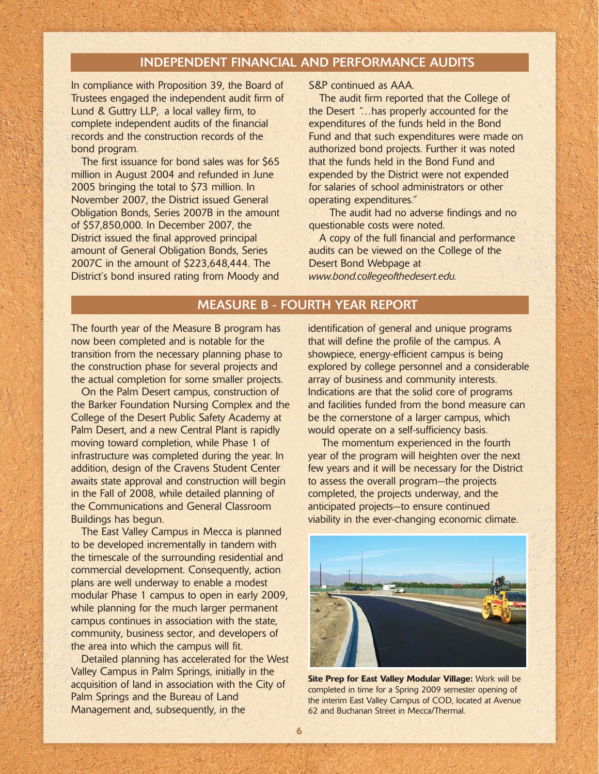#### INDEPENDENT FINANCIAL AND PERFORMANCE AUDITS

In compliance with Proposition 39, the Board of Trustees engaged the independent audit firm of Lund & Guttry LLP, a local valley firm, to complete independent audits of the financial records and the construction records of the bond program.

The first issuance for bond sales was for \$65 million in August 2004 and refunded in June 2005 bringing the total to \$73 million. In November 2007, the District issued General Obligation Bonds, Series 2007B in the amount of \$57,850,000. In December 2007, the District issued the final approved principal amount of General Obligation Bonds, Series 2007C in the amount of \$223,648,444. The District's bond insured rating from Moody and

S&P continued as AAA.

The audit firm reported that the College of the Desert "…has properly accounted for the expenditures of the funds held in the Bond Fund and that such expenditures were made on authorized bond projects. Further it was noted that the funds held in the Bond Fund and expended by the District were not expended for salaries of school administrators or other operating expenditures."

The audit had no adverse findings and no questionable costs were noted.

A copy of the full financial and performance audits can be viewed on the College of the Desert Bond Webpage at *www.bond.collegeofthedesert.edu.*

# MEASURE B - FOURTH YEAR REPORT

The fourth year of the Measure B program has now been completed and is notable for the transition from the necessary planning phase to the construction phase for several projects and the actual completion for some smaller projects.

On the Palm Desert campus, construction of the Barker Foundation Nursing Complex and the College of the Desert Public Safety Academy at Palm Desert, and a new Central Plant is rapidly moving toward completion, while Phase 1 of infrastructure was completed during the year. In addition, design of the Cravens Student Center awaits state approval and construction will begin in the Fall of 2008, while detailed planning of the Communications and General Classroom Buildings has begun.

The East Valley Campus in Mecca is planned to be developed incrementally in tandem with the timescale of the surrounding residential and commercial development. Consequently, action plans are well underway to enable a modest modular Phase 1 campus to open in early 2009, while planning for the much larger permanent campus continues in association with the state, community, business sector, and developers of the area into which the campus will fit.

Detailed planning has accelerated for the West Valley Campus in Palm Springs, initially in the acquisition of land in association with the City of Palm Springs and the Bureau of Land Management and, subsequently, in the

identification of general and unique programs that will define the profile of the campus. A showpiece, energy-efficient campus is being explored by college personnel and a considerable array of business and community interests. Indications are that the solid core of programs and facilities funded from the bond measure can be the cornerstone of a larger campus, which would operate on a self-sufficiency basis.

The momentum experienced in the fourth year of the program will heighten over the next few years and it will be necessary for the District to assess the overall program—the projects completed, the projects underway, and the anticipated projects—to ensure continued viability in the ever-changing economic climate.



**Site Prep for East Valley Modular Village:** Work will be completed in time for a Spring 2009 semester opening of the interim East Valley Campus of COD, located at Avenue 62 and Buchanan Street in Mecca/Thermal.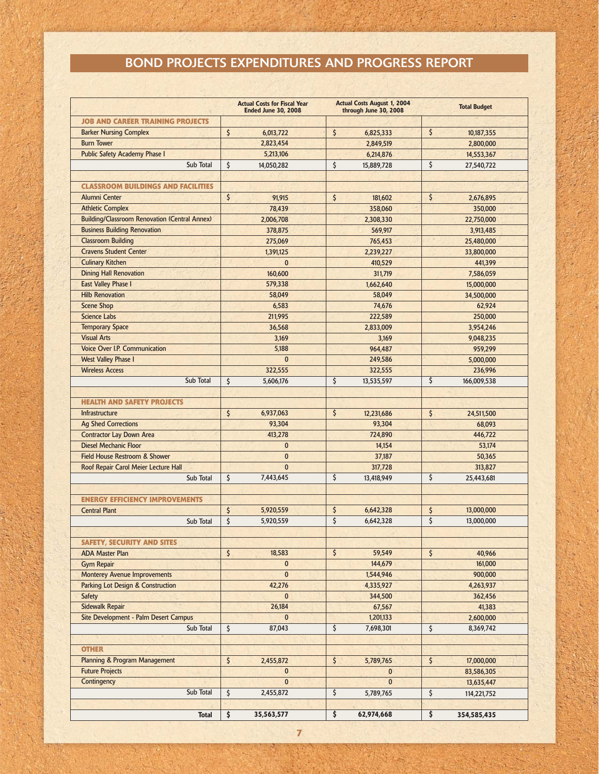# BOND PROJECTS EXPENDITURES AND PROGRESS REPORT

|                                                      | <b>Actual Costs for Fiscal Year</b><br><b>Ended June 30, 2008</b> | <b>Actual Costs August 1, 2004</b><br>through June 30, 2008 | <b>Total Budget</b> |
|------------------------------------------------------|-------------------------------------------------------------------|-------------------------------------------------------------|---------------------|
| <b>JOB AND CAREER TRAINING PROJECTS</b>              |                                                                   |                                                             |                     |
| <b>Barker Nursing Complex</b>                        | \$<br>6,013,722                                                   | \$<br>6,825,333                                             | \$<br>10,187,355    |
| <b>Burn Tower</b>                                    | 2,823,454                                                         | 2,849,519                                                   | 2,800,000           |
| <b>Public Safety Academy Phase I</b>                 | 5,213,106                                                         | 6,214,876                                                   | 14,553,367          |
| Sub Total                                            | \$<br>14,050,282                                                  | \$<br>15,889,728                                            | \$<br>27,540,722    |
|                                                      |                                                                   |                                                             |                     |
| <b>CLASSROOM BUILDINGS AND FACILITIES</b>            |                                                                   |                                                             |                     |
| <b>Alumni Center</b>                                 | \$<br>91,915                                                      | \$<br>181,602                                               | \$<br>2,676,895     |
| <b>Athletic Complex</b>                              | 78,439                                                            | 358,060                                                     | 350,000             |
| <b>Building/Classroom Renovation (Central Annex)</b> | 2,006,708                                                         | 2,308,330                                                   | 22,750,000          |
| <b>Business Building Renovation</b>                  | 378.875                                                           | 569,917                                                     | 3,913,485           |
| <b>Classroom Building</b>                            | 275,069                                                           | 765,453                                                     | 25,480,000          |
| <b>Cravens Student Center</b>                        | 1,391,125                                                         | 2,239,227                                                   | 33,800,000          |
| <b>Culinary Kitchen</b>                              | $\mathbf{0}$                                                      | 410,529                                                     | 441,399             |
| <b>Dining Hall Renovation</b>                        | 160,600                                                           | 311,719                                                     | 7,586,059           |
| <b>East Valley Phase I</b>                           | 579,338                                                           | 1,662,640                                                   | 15,000,000          |
| <b>Hilb Renovation</b>                               | 58.049                                                            | 58,049                                                      | 34,500,000          |
| <b>Scene Shop</b>                                    | 6,583                                                             | 74,676                                                      | 62.924              |
| Science Labs                                         | 211,995                                                           | 222,589                                                     | 250,000             |
| <b>Temporary Space</b>                               | 36.568                                                            | 2.833.009                                                   | 3,954,246           |
| <b>Visual Arts</b>                                   | 3,169                                                             | 3,169                                                       | 9,048,235           |
| <b>Voice Over I.P. Communication</b>                 | 5,188                                                             | 964.487                                                     | 959,299             |
| <b>West Valley Phase I</b>                           | $\mathbf{0}$                                                      | 249,586                                                     | 5,000,000           |
| <b>Wireless Access</b>                               | 322,555                                                           | 322,555                                                     | 236,996             |
| Sub Total                                            | \$<br>5,606,176                                                   | \$<br>13,535,597                                            | \$<br>166,009,538   |
|                                                      |                                                                   |                                                             |                     |
| <b>HEALTH AND SAFETY PROJECTS</b>                    |                                                                   |                                                             |                     |
| <b>Infrastructure</b>                                | \$<br>6,937,063                                                   | \$<br>12,231,686                                            | \$<br>24,511,500    |
| <b>Ag Shed Corrections</b>                           | 93,304                                                            | 93,304                                                      | 68,093              |
| <b>Contractor Lay Down Area</b>                      | 413,278                                                           | 724,890                                                     | 446,722             |
| <b>Diesel Mechanic Floor</b>                         | $\mathbf{0}$                                                      | 14,154                                                      | 53,174              |
| <b>Field House Restroom &amp; Shower</b>             | $\mathbf{0}$                                                      | 37,187                                                      | 50,365              |
| Roof Repair Carol Meier Lecture Hall                 | $\mathbf{0}$                                                      | 317,728                                                     | 313,827             |
| Sub Total                                            | \$<br>7,443,645                                                   | \$<br>13,418,949                                            | \$<br>25,443,681    |
|                                                      |                                                                   |                                                             |                     |
| <b>ENERGY EFFICIENCY IMPROVEMENTS</b>                |                                                                   |                                                             |                     |
| <b>Central Plant</b>                                 | \$<br>5,920,559                                                   | \$<br>6,642,328                                             | \$<br>13,000,000    |
| Sub Total                                            | \$<br>5,920,559                                                   | \$<br>6.642.328                                             | \$<br>13,000,000    |
|                                                      |                                                                   |                                                             |                     |
| <b>SAFETY, SECURITY AND SITES</b>                    |                                                                   |                                                             |                     |
| <b>ADA Master Plan</b>                               | \$<br>18,583                                                      | \$<br>59,549                                                | \$<br>40,966        |
| <b>Gym Repair</b>                                    | $\mathbf{0}$                                                      | 144,679                                                     | 161,000             |
| <b>Monterey Avenue Improvements</b>                  | $\mathbf{0}$                                                      | 1,544,946                                                   | 900,000             |
| <b>Parking Lot Design &amp; Construction</b>         | 42,276                                                            | 4,335,927                                                   | 4,263,937           |
| <b>Safety</b>                                        | $\mathbf{0}$                                                      | 344,500                                                     | 362,456             |
| <b>Sidewalk Repair</b>                               | 26,184                                                            | 67,567                                                      | 41,383              |
| Site Development - Palm Desert Campus                | $\mathbf{0}$                                                      | 1,201,133                                                   | 2,600,000           |
| Sub Total                                            | \$<br>87,043                                                      | \$<br>7,698,301                                             | \$<br>8,369,742     |
|                                                      |                                                                   |                                                             |                     |
| <b>OTHER</b>                                         |                                                                   |                                                             |                     |
| <b>Planning &amp; Program Management</b>             | $\zeta$<br>2,455,872                                              | \$<br>5,789,765                                             | \$<br>17,000,000    |
| <b>Future Projects</b>                               | $\bf{0}$                                                          | $\bf{0}$                                                    | 83,586,305          |
| Contingency                                          | $\mathbf{0}$                                                      | $\mathbf{0}$                                                | 13,635,447          |
| Sub Total                                            | \$<br>2,455,872                                                   | \$<br>5,789,765                                             | \$<br>114,221,752   |
|                                                      |                                                                   |                                                             |                     |
| <b>Total</b>                                         | $\overline{\xi}$<br>35,563,577                                    | \$<br>62,974,668                                            | \$<br>354,585,435   |